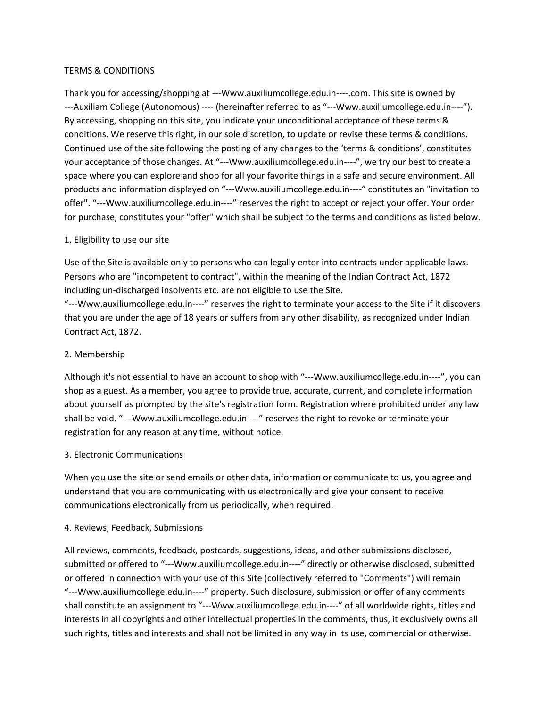## TERMS & CONDITIONS

Thank you for accessing/shopping at ---Www.auxiliumcollege.edu.in----.com. This site is owned by ---Auxiliam College (Autonomous) ---- (hereinafter referred to as "---Www.auxiliumcollege.edu.in----"). By accessing, shopping on this site, you indicate your unconditional acceptance of these terms & conditions. We reserve this right, in our sole discretion, to update or revise these terms & conditions. Continued use of the site following the posting of any changes to the 'terms & conditions', constitutes your acceptance of those changes. At "---Www.auxiliumcollege.edu.in----", we try our best to create a space where you can explore and shop for all your favorite things in a safe and secure environment. All products and information displayed on "---Www.auxiliumcollege.edu.in----" constitutes an "invitation to offer". "---Www.auxiliumcollege.edu.in----" reserves the right to accept or reject your offer. Your order for purchase, constitutes your "offer" which shall be subject to the terms and conditions as listed below.

# 1. Eligibility to use our site

Use of the Site is available only to persons who can legally enter into contracts under applicable laws. Persons who are "incompetent to contract", within the meaning of the Indian Contract Act, 1872 including un-discharged insolvents etc. are not eligible to use the Site.

"---Www.auxiliumcollege.edu.in----" reserves the right to terminate your access to the Site if it discovers that you are under the age of 18 years or suffers from any other disability, as recognized under Indian Contract Act, 1872.

# 2. Membership

Although it's not essential to have an account to shop with "---Www.auxiliumcollege.edu.in----", you can shop as a guest. As a member, you agree to provide true, accurate, current, and complete information about yourself as prompted by the site's registration form. Registration where prohibited under any law shall be void. "---Www.auxiliumcollege.edu.in----" reserves the right to revoke or terminate your registration for any reason at any time, without notice.

# 3. Electronic Communications

When you use the site or send emails or other data, information or communicate to us, you agree and understand that you are communicating with us electronically and give your consent to receive communications electronically from us periodically, when required.

# 4. Reviews, Feedback, Submissions

All reviews, comments, feedback, postcards, suggestions, ideas, and other submissions disclosed, submitted or offered to "---Www.auxiliumcollege.edu.in----" directly or otherwise disclosed, submitted or offered in connection with your use of this Site (collectively referred to "Comments") will remain "---Www.auxiliumcollege.edu.in----" property. Such disclosure, submission or offer of any comments shall constitute an assignment to "---Www.auxiliumcollege.edu.in----" of all worldwide rights, titles and interests in all copyrights and other intellectual properties in the comments, thus, it exclusively owns all such rights, titles and interests and shall not be limited in any way in its use, commercial or otherwise.